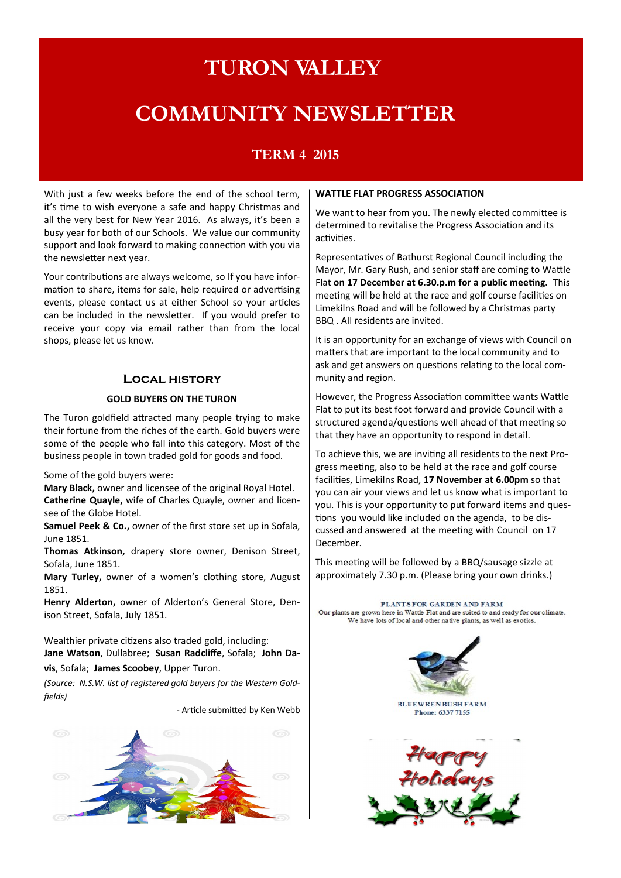# **TURON VALLEY**

# **COMMUNITY NEWSLETTER**

# **TERM 4 2015**

With just a few weeks before the end of the school term, it's time to wish everyone a safe and happy Christmas and all the very best for New Year 2016. As always, it's been a busy year for both of our Schools. We value our community support and look forward to making connection with you via the newsletter next year.

Your contributions are always welcome, so If you have information to share, items for sale, help required or advertising events, please contact us at either School so your articles can be included in the newsletter. If you would prefer to receive your copy via email rather than from the local shops, please let us know.

#### **Local history**

#### **GOLD BUYERS ON THE TURON**

The Turon goldfield attracted many people trying to make their fortune from the riches of the earth. Gold buyers were some of the people who fall into this category. Most of the business people in town traded gold for goods and food.

Some of the gold buyers were:

**Mary Black,** owner and licensee of the original Royal Hotel. **Catherine Quayle,** wife of Charles Quayle, owner and licensee of the Globe Hotel.

**Samuel Peek & Co.,** owner of the first store set up in Sofala, June 1851.

**Thomas Atkinson,** drapery store owner, Denison Street, Sofala, June 1851.

**Mary Turley,** owner of a women's clothing store, August 1851.

**Henry Alderton,** owner of Alderton's General Store, Denison Street, Sofala, July 1851.

Wealthier private citizens also traded gold, including: **Jane Watson**, Dullabree; **Susan Radcliffe**, Sofala; **John Davis**, Sofala; **James Scoobey**, Upper Turon.

*(Source: N.S.W. list of registered gold buyers for the Western Goldfields)*

*-* Article submitted by Ken Webb



#### **WATTLE FLAT PROGRESS ASSOCIATION**

We want to hear from you. The newly elected committee is determined to revitalise the Progress Association and its activities.

Representatives of Bathurst Regional Council including the Mayor, Mr. Gary Rush, and senior staff are coming to Wattle Flat **on 17 December at 6.30.p.m for a public meeting.** This meeting will be held at the race and golf course facilities on Limekilns Road and will be followed by a Christmas party BBQ . All residents are invited.

It is an opportunity for an exchange of views with Council on matters that are important to the local community and to ask and get answers on questions relating to the local community and region.

However, the Progress Association committee wants Wattle Flat to put its best foot forward and provide Council with a structured agenda/questions well ahead of that meeting so that they have an opportunity to respond in detail.

To achieve this, we are inviting all residents to the next Progress meeting, also to be held at the race and golf course facilities, Limekilns Road, **17 November at 6.00pm** so that you can air your views and let us know what is important to you. This is your opportunity to put forward items and questions you would like included on the agenda, to be discussed and answered at the meeting with Council on 17 December.

This meeting will be followed by a BBQ/sausage sizzle at approximately 7.30 p.m. (Please bring your own drinks.)

PLANTS FOR GARDEN AND FARM Our plants are grown here in Wattle Flat and are suited to and ready for our climate. We have lots of local and other native plants, as well as exotics.

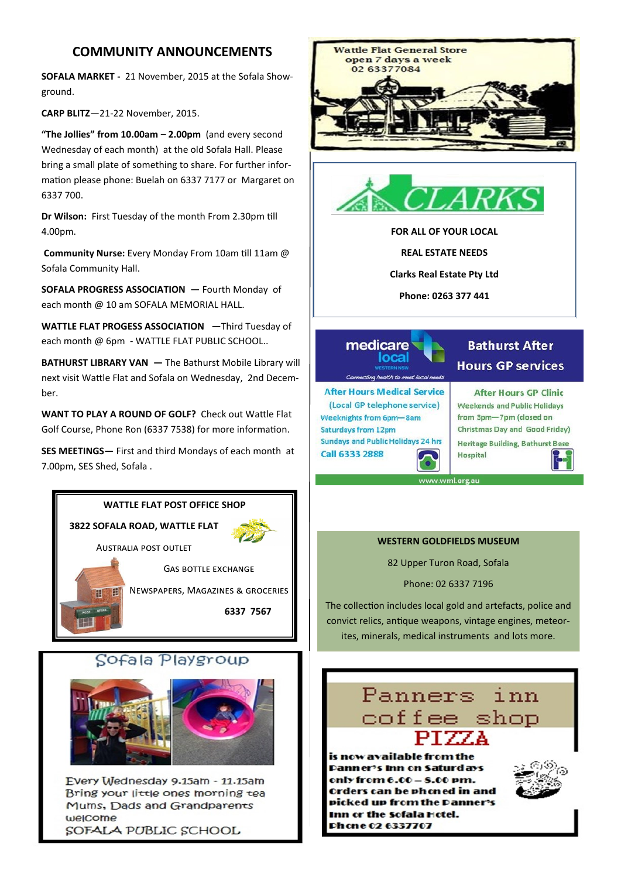# **COMMUNITY ANNOUNCEMENTS**

**SOFALA MARKET -** 21 November, 2015 at the Sofala Showground.

**CARP BLITZ**—21-22 November, 2015.

**"The Jollies" from 10.00am – 2.00pm** (and every second Wednesday of each month) at the old Sofala Hall. Please bring a small plate of something to share. For further information please phone: Buelah on 6337 7177 or Margaret on 6337 700.

**Dr Wilson:** First Tuesday of the month From 2.30pm till 4.00pm.

**Community Nurse:** Every Monday From 10am till 11am @ Sofala Community Hall.

**SOFALA PROGRESS ASSOCIATION —** Fourth Monday of each month @ 10 am SOFALA MEMORIAL HALL.

**WATTLE FLAT PROGESS ASSOCIATION —**Third Tuesday of each month @ 6pm - WATTLE FLAT PUBLIC SCHOOL..

**BATHURST LIBRARY VAN —** The Bathurst Mobile Library will next visit Wattle Flat and Sofala on Wednesday, 2nd December.

**WANT TO PLAY A ROUND OF GOLF?** Check out Wattle Flat Golf Course, Phone Ron (6337 7538) for more information.

**SES MEETINGS—** First and third Mondays of each month at 7.00pm, SES Shed, Sofala .

### **WATTLE FLAT POST OFFICE SHOP**

**3822 SOFALA ROAD, WATTLE FLAT**  Australia post outlet

Gas bottle exchange Newspapers, Magazines & groceries

 **6337 7567** 

# Sofala Playgroup



Every Wednesday 9.15am - 11.15am Bring your little ones morning tea Mums, Dads and Grandparents welcome SOFALA PUBLIC SCHOOL





**FOR ALL OF YOUR LOCAL**

**REAL ESTATE NEEDS**

**Clarks Real Estate Pty Ltd**

**Phone: 0263 377 441**



**After Hours Medical Service** (Local GP telephone service) Weeknights from 6pm-8am **Saturdays from 12pm Sundays and Public Holidays 24 hrs** Call 6333 2888

# **Bathurst After Hours GP services**

**After Hours GP Clinic** Weekends and Public Holidays from 3pm-7pm (closed on Christmas Day and Good Friday) Heritage Building, Bathurst Base Hospital

ww.wml.org.au

#### **WESTERN GOLDFIELDS MUSEUM**

82 Upper Turon Road, Sofala

Phone: 02 6337 7196

The collection includes local gold and artefacts, police and convict relics, antique weapons, vintage engines, meteorites, minerals, medical instruments and lots more.

# Panners inn coffee shop

is now available from the Danner's Inn on Saturdays only from  $6.00 - 8.00$  pm. **Orders can be phoned in and** picked up from the Danner's Inn or the sofala Hotel. Phone 02 6337707

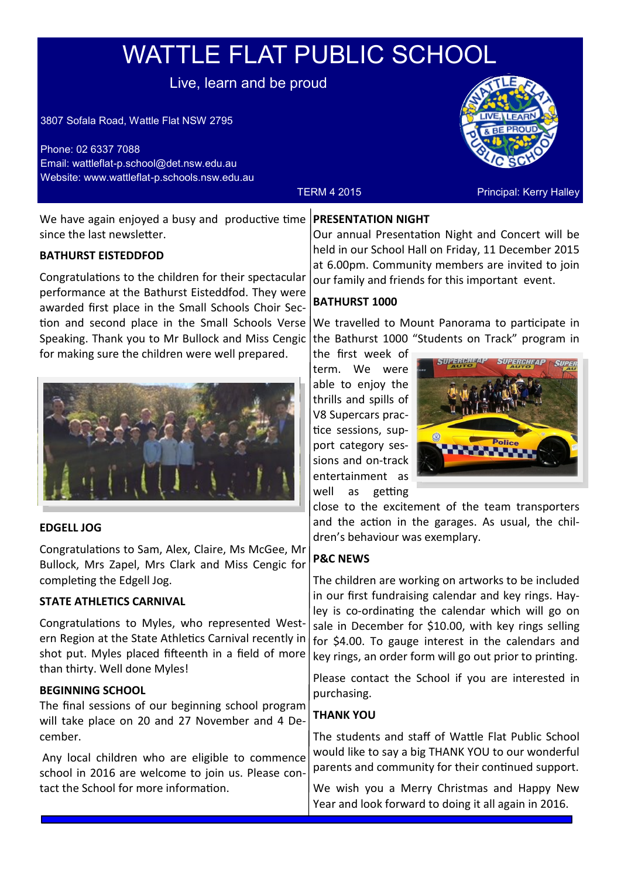# WATTLE FLAT PUBLIC SCHOOL

Live, learn and be proud

3807 Sofala Road, Wattle Flat NSW 2795

Phone: 02 6337 7088 Email: wattleflat-p.school@det.nsw.edu.au Website: www.wattleflat-p.schools.nsw.edu.au



TERM 4 2015 **Principal: Kerry Halley** 

We have again enjoyed a busy and productive time since the last newsletter.

# **BATHURST EISTEDDFOD**

Congratulations to the children for their spectacular performance at the Bathurst Eisteddfod. They were awarded first place in the Small Schools Choir Section and second place in the Small Schools Verse Speaking. Thank you to Mr Bullock and Miss Cengic for making sure the children were well prepared.



# **EDGELL JOG**

Congratulations to Sam, Alex, Claire, Ms McGee, Mr Bullock, Mrs Zapel, Mrs Clark and Miss Cengic for completing the Edgell Jog.

# **STATE ATHLETICS CARNIVAL**

Congratulations to Myles, who represented Western Region at the State Athletics Carnival recently in shot put. Myles placed fifteenth in a field of more than thirty. Well done Myles!

### **BEGINNING SCHOOL**

The final sessions of our beginning school program will take place on 20 and 27 November and 4 December.

Any local children who are eligible to commence school in 2016 are welcome to join us. Please contact the School for more information.

## **PRESENTATION NIGHT**

Our annual Presentation Night and Concert will be held in our School Hall on Friday, 11 December 2015 at 6.00pm. Community members are invited to join our family and friends for this important event.

### **BATHURST 1000**

We travelled to Mount Panorama to participate in the Bathurst 1000 "Students on Track" program in

the first week of term. We were able to enjoy the thrills and spills of V8 Supercars practice sessions, support category sessions and on-track entertainment as well as getting



close to the excitement of the team transporters and the action in the garages. As usual, the children's behaviour was exemplary.

# **P&C NEWS**

The children are working on artworks to be included in our first fundraising calendar and key rings. Hayley is co-ordinating the calendar which will go on sale in December for \$10.00, with key rings selling for \$4.00. To gauge interest in the calendars and key rings, an order form will go out prior to printing.

Please contact the School if you are interested in purchasing.

### **THANK YOU**

The students and staff of Wattle Flat Public School would like to say a big THANK YOU to our wonderful parents and community for their continued support.

We wish you a Merry Christmas and Happy New Year and look forward to doing it all again in 2016.